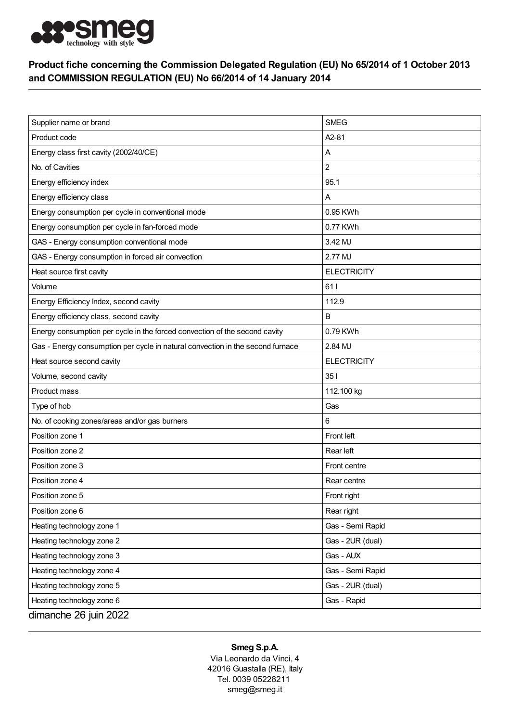

## Product fiche concerning the Commission Delegated Regulation (EU) No 65/2014 of 1 October 2013 and COMMISSION REGULATION (EU) No 66/2014 of 14 January 2014

| Supplier name or brand                                                         | <b>SMEG</b>        |
|--------------------------------------------------------------------------------|--------------------|
| Product code                                                                   | A2-81              |
| Energy class first cavity (2002/40/CE)                                         | Α                  |
| No. of Cavities                                                                | $\overline{c}$     |
| Energy efficiency index                                                        | 95.1               |
| Energy efficiency class                                                        | Α                  |
| Energy consumption per cycle in conventional mode                              | 0.95 KWh           |
| Energy consumption per cycle in fan-forced mode                                | 0.77 KWh           |
| GAS - Energy consumption conventional mode                                     | 3.42 MJ            |
| GAS - Energy consumption in forced air convection                              | 2.77 MJ            |
| Heat source first cavity                                                       | <b>ELECTRICITY</b> |
| Volume                                                                         | 611                |
| Energy Efficiency Index, second cavity                                         | 112.9              |
| Energy efficiency class, second cavity                                         | B                  |
| Energy consumption per cycle in the forced convection of the second cavity     | 0.79 KWh           |
| Gas - Energy consumption per cycle in natural convection in the second furnace | 2.84 MJ            |
| Heat source second cavity                                                      | <b>ELECTRICITY</b> |
| Volume, second cavity                                                          | 351                |
| Product mass                                                                   | 112.100 kg         |
| Type of hob                                                                    | Gas                |
| No. of cooking zones/areas and/or gas burners                                  | 6                  |
| Position zone 1                                                                | Front left         |
| Position zone 2                                                                | Rear left          |
| Position zone 3                                                                | Front centre       |
| Position zone 4                                                                | Rear centre        |
| Position zone 5                                                                | Front right        |
| Position zone 6                                                                | Rear right         |
| Heating technology zone 1                                                      | Gas - Semi Rapid   |
| Heating technology zone 2                                                      | Gas - 2UR (dual)   |
| Heating technology zone 3                                                      | Gas - AUX          |
| Heating technology zone 4                                                      | Gas - Semi Rapid   |
| Heating technology zone 5                                                      | Gas - 2UR (dual)   |
| Heating technology zone 6                                                      | Gas - Rapid        |
| dimanche 26 juin 2022                                                          |                    |

## Smeg S.p.A.

Via Leonardo da Vinci, 4 42016 Guastalla (RE), Italy Tel. 0039 05228211 smeg@smeg.it